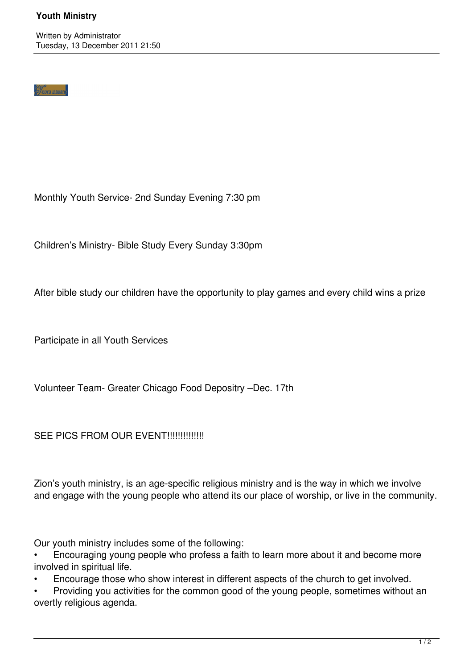## **Youth Ministry**

## **Vaure Mensie**

Monthly Youth Service- 2nd Sunday Evening 7:30 pm

Children's Ministry- Bible Study Every Sunday 3:30pm

After bible study our children have the opportunity to play games and every child wins a prize

Participate in all Youth Services

Volunteer Team- Greater Chicago Food Depositry –Dec. 17th

SEE PICS FROM OUR EVENT!!!!!!!!!!!!!!!

Zion's youth ministry, is an age-specific religious ministry and is the way in which we involve and engage with the young people who attend its our place of worship, or live in the community.

Our youth ministry includes some of the following:

• Encouraging young people who profess a faith to learn more about it and become more involved in spiritual life.

• Encourage those who show interest in different aspects of the church to get involved.

• Providing you activities for the common good of the young people, sometimes without an overtly religious agenda.